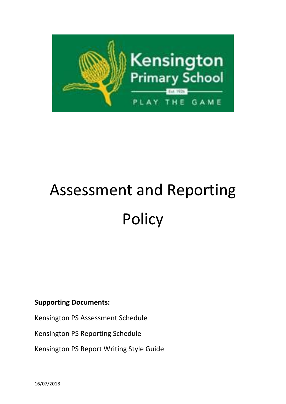

# Assessment and Reporting **Policy**

## **Supporting Documents:**

Kensington PS Assessment Schedule

Kensington PS Reporting Schedule

Kensington PS Report Writing Style Guide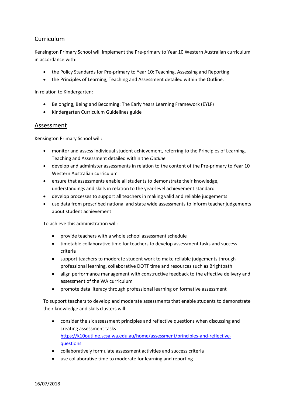### Curriculum

Kensington Primary School will implement the Pre-primary to Year 10 Western Australian curriculum in accordance with:

- the Policy Standards for Pre-primary to Year 10: Teaching, Assessing and Reporting
- the Principles of Learning, Teaching and Assessment detailed within the Outline.

In relation to Kindergarten:

- **Belonging, Being and Becoming: The Early Years Learning Framework (EYLF)**
- Kindergarten Curriculum Guidelines guide

#### Assessment

Kensington Primary School will:

- monitor and assess individual student achievement, referring to the Principles of Learning, Teaching and Assessment detailed within the *Outline*
- develop and administer assessments in relation to the content of the Pre-primary to Year 10 Western Australian curriculum
- ensure that assessments enable all students to demonstrate their knowledge, understandings and skills in relation to the year-level achievement standard
- develop processes to support all teachers in making valid and reliable judgements
- use data from prescribed national and state wide assessments to inform teacher judgements about student achievement

To achieve this administration will:

- provide teachers with a whole school assessment schedule
- timetable collaborative time for teachers to develop assessment tasks and success criteria
- support teachers to moderate student work to make reliable judgements through professional learning, collaborative DOTT time and resources such as Brightpath
- align performance management with constructive feedback to the effective delivery and assessment of the WA curriculum
- promote data literacy through professional learning on formative assessment

To support teachers to develop and moderate assessments that enable students to demonstrate their knowledge and skills clusters will:

- consider the six assessment principles and reflective questions when discussing and creating assessment tasks [https://k10outline.scsa.wa.edu.au/home/assessment/principles-and-reflective](https://k10outline.scsa.wa.edu.au/home/assessment/principles-and-reflective-questions)[questions](https://k10outline.scsa.wa.edu.au/home/assessment/principles-and-reflective-questions)
- collaboratively formulate assessment activities and success criteria
- use collaborative time to moderate for learning and reporting